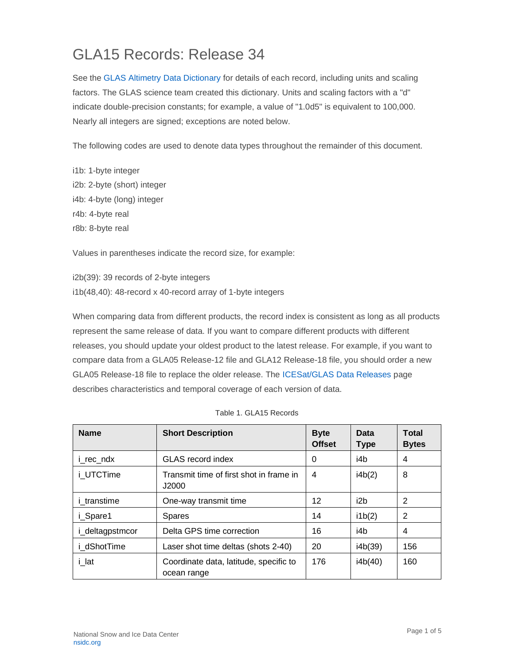## GLA15 Records: Release 34

See the [GLAS Altimetry Data Dictionary](https://nsidc.org/data/icesat/technical-references) for details of each record, including units and scaling factors. The GLAS science team created this dictionary. Units and scaling factors with a "d" indicate double-precision constants; for example, a value of "1.0d5" is equivalent to 100,000. Nearly all integers are signed; exceptions are noted below.

The following codes are used to denote data types throughout the remainder of this document.

i1b: 1-byte integer i2b: 2-byte (short) integer i4b: 4-byte (long) integer r4b: 4-byte real r8b: 8-byte real

Values in parentheses indicate the record size, for example:

i2b(39): 39 records of 2-byte integers i1b(48,40): 48-record x 40-record array of 1-byte integers

When comparing data from different products, the record index is consistent as long as all products represent the same release of data. If you want to compare different products with different releases, you should update your oldest product to the latest release. For example, if you want to compare data from a GLA05 Release-12 file and GLA12 Release-18 file, you should order a new GLA05 Release-18 file to replace the older release. The [ICESat/GLAS Data Releases](https://nsidc.org/data/icesat) page describes characteristics and temporal coverage of each version of data.

| <b>Name</b>        | <b>Short Description</b>                              | <b>Byte</b><br><b>Offset</b> | Data<br><b>Type</b> | <b>Total</b><br><b>Bytes</b> |
|--------------------|-------------------------------------------------------|------------------------------|---------------------|------------------------------|
| i rec ndx          | <b>GLAS</b> record index                              | 0                            | i4b                 | 4                            |
| i UTCTime          | Transmit time of first shot in frame in<br>J2000      | 4                            | i4b(2)              | 8                            |
| <i>i</i> transtime | One-way transmit time                                 | 12                           | i2b                 | 2                            |
| i Spare1           | <b>Spares</b>                                         | 14                           | i1b(2)              | 2                            |
| i_deltagpstmcor    | Delta GPS time correction                             | 16                           | i4b                 | 4                            |
| i dShotTime        | Laser shot time deltas (shots 2-40)                   | 20                           | i4b(39)             | 156                          |
| i lat              | Coordinate data, latitude, specific to<br>ocean range | 176                          | i4b(40)             | 160                          |

| Table 1. GLA15 Records |
|------------------------|
|                        |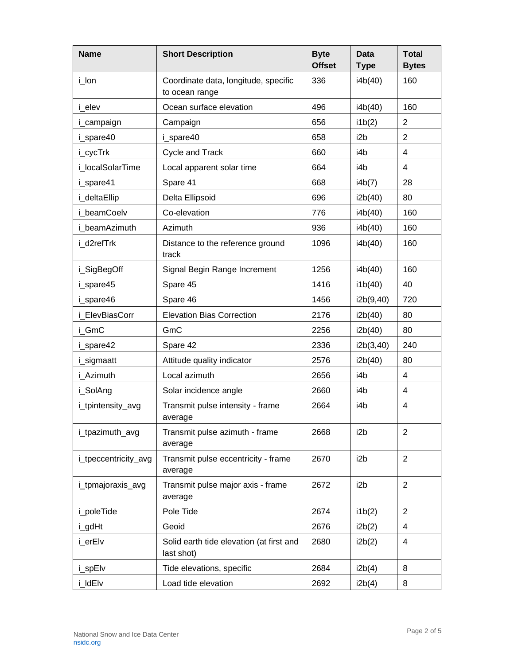| <b>Name</b>          | <b>Short Description</b>                               | <b>Byte</b><br><b>Offset</b> | <b>Data</b><br><b>Type</b> | <b>Total</b><br><b>Bytes</b> |
|----------------------|--------------------------------------------------------|------------------------------|----------------------------|------------------------------|
| i_lon                | Coordinate data, longitude, specific<br>to ocean range | 336                          | i4b(40)                    | 160                          |
| i elev               | Ocean surface elevation                                | 496                          | i4b(40)                    | 160                          |
| i_campaign           | Campaign                                               | 656                          | i1b(2)                     | $\overline{2}$               |
| i_spare40            | i_spare40                                              | 658                          | i2b                        | $\overline{2}$               |
| i_cycTrk             | Cycle and Track                                        | 660                          | i4b                        | 4                            |
| i localSolarTime     | Local apparent solar time                              | 664                          | i4b                        | 4                            |
| i_spare41            | Spare 41                                               | 668                          | i4b(7)                     | 28                           |
| i_deltaEllip         | Delta Ellipsoid                                        | 696                          | i2b(40)                    | 80                           |
| i beamCoelv          | Co-elevation                                           | 776                          | i4b(40)                    | 160                          |
| i beamAzimuth        | Azimuth                                                | 936                          | i4b(40)                    | 160                          |
| i d2refTrk           | Distance to the reference ground<br>track              | 1096                         | i4b(40)                    | 160                          |
| i_SigBegOff          | Signal Begin Range Increment                           | 1256                         | i4b(40)                    | 160                          |
| i_spare45            | Spare 45                                               | 1416                         | i1b(40)                    | 40                           |
| i_spare46            | Spare 46                                               | 1456                         | i2b(9,40)                  | 720                          |
| i ElevBiasCorr       | <b>Elevation Bias Correction</b>                       | 2176                         | i2b(40)                    | 80                           |
| i_GmC                | GmC                                                    | 2256                         | i2b(40)                    | 80                           |
| i_spare42            | Spare 42                                               | 2336                         | i2b(3,40)                  | 240                          |
| i_sigmaatt           | Attitude quality indicator                             | 2576                         | i2b(40)                    | 80                           |
| i Azimuth            | Local azimuth                                          | 2656                         | i4b                        | $\overline{\mathbf{4}}$      |
| i_SolAng             | Solar incidence angle                                  | 2660                         | i4b                        | 4                            |
| i_tpintensity_avg    | Transmit pulse intensity - frame<br>average            | 2664                         | i4b                        | 4                            |
| i_tpazimuth_avg      | Transmit pulse azimuth - frame<br>average              | 2668                         | i <sub>2</sub> b           | 2                            |
| i_tpeccentricity_avg | Transmit pulse eccentricity - frame<br>average         | 2670                         | i <sub>2</sub> b           | $\overline{2}$               |
| i_tpmajoraxis_avg    | Transmit pulse major axis - frame<br>average           | 2672                         | i <sub>2</sub> b           | $\overline{c}$               |
| i_poleTide           | Pole Tide                                              | 2674                         | i1b(2)                     | $\overline{2}$               |
| i_gdHt               | Geoid                                                  | 2676                         | i2b(2)                     | 4                            |
| i_erElv              | Solid earth tide elevation (at first and<br>last shot) | 2680                         | i2b(2)                     | 4                            |
| i_spElv              | Tide elevations, specific                              | 2684                         | i2b(4)                     | 8                            |
| i_ldElv              | Load tide elevation                                    | 2692                         | i2b(4)                     | 8                            |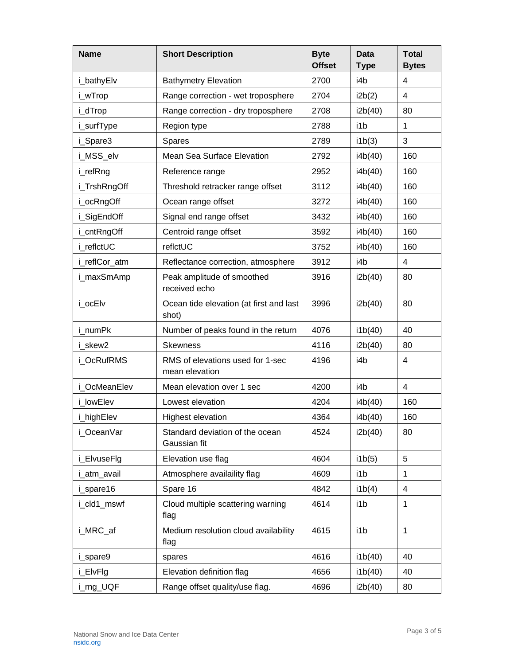| <b>Name</b>   | <b>Short Description</b>                           | <b>Byte</b><br><b>Offset</b> | Data<br><b>Type</b> | <b>Total</b><br><b>Bytes</b> |
|---------------|----------------------------------------------------|------------------------------|---------------------|------------------------------|
| i_bathyElv    | <b>Bathymetry Elevation</b>                        | 2700                         | i4b                 | 4                            |
| i_wTrop       | Range correction - wet troposphere                 | 2704                         | i2b(2)              | 4                            |
| i_dTrop       | Range correction - dry troposphere                 | 2708                         | i2b(40)             | 80                           |
| i_surfType    | Region type                                        | 2788                         | i1b                 | $\mathbf{1}$                 |
| i Spare3      | <b>Spares</b>                                      | 2789                         | i1b(3)              | 3                            |
| i_MSS_elv     | Mean Sea Surface Elevation                         | 2792                         | i4b(40)             | 160                          |
| i_refRng      | Reference range                                    | 2952                         | i4b(40)             | 160                          |
| i_TrshRngOff  | Threshold retracker range offset                   | 3112                         | i4b(40)             | 160                          |
| i_ocRngOff    | Ocean range offset                                 | 3272                         | i4b(40)             | 160                          |
| i_SigEndOff   | Signal end range offset                            | 3432                         | i4b(40)             | 160                          |
| i_cntRngOff   | Centroid range offset                              | 3592                         | i4b(40)             | 160                          |
| i reflctUC    | reflctUC                                           | 3752                         | i4b(40)             | 160                          |
| i_reflCor_atm | Reflectance correction, atmosphere                 | 3912                         | i4b                 | 4                            |
| i_maxSmAmp    | Peak amplitude of smoothed<br>received echo        | 3916                         | i2b(40)             | 80                           |
| i_ocElv       | Ocean tide elevation (at first and last<br>shot)   | 3996                         | i2b(40)             | 80                           |
| i numPk       | Number of peaks found in the return                | 4076                         | i1b(40)             | 40                           |
| i skew2       | <b>Skewness</b>                                    | 4116                         | i2b(40)             | 80                           |
| i OcRufRMS    | RMS of elevations used for 1-sec<br>mean elevation | 4196                         | i4b                 | 4                            |
| i OcMeanElev  | Mean elevation over 1 sec                          | 4200                         | i4b                 | $\overline{\mathbf{4}}$      |
| i lowElev     | Lowest elevation                                   | 4204                         | i4b(40)             | 160                          |
| i_highElev    | <b>Highest elevation</b>                           | 4364                         | i4b(40)             | 160                          |
| i_OceanVar    | Standard deviation of the ocean<br>Gaussian fit    | 4524                         | i2b(40)             | 80                           |
| i_ElvuseFlg   | Elevation use flag                                 | 4604                         | i1b(5)              | 5                            |
| i_atm_avail   | Atmosphere availaility flag                        | 4609                         | i1b                 | 1                            |
| i_spare16     | Spare 16                                           | 4842                         | i1b(4)              | 4                            |
| i_cld1_mswf   | Cloud multiple scattering warning<br>flag          | 4614                         | i1b                 | $\mathbf{1}$                 |
| i_MRC_af      | Medium resolution cloud availability<br>flag       | 4615                         | i1b                 | 1                            |
| i_spare9      | spares                                             | 4616                         | i1b(40)             | 40                           |
| i_ElvFlg      | Elevation definition flag                          | 4656                         | i1b(40)             | 40                           |
| i_rng_UQF     | Range offset quality/use flag.                     | 4696                         | i2b(40)             | 80                           |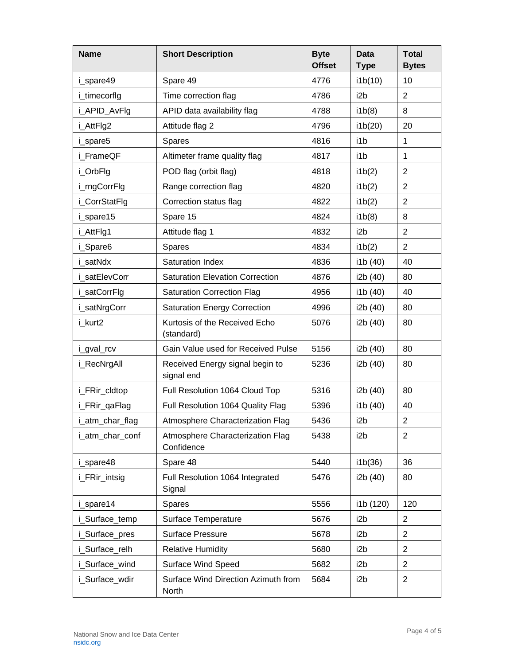| <b>Name</b>     | <b>Short Description</b>                       | <b>Byte</b><br><b>Offset</b> | <b>Data</b><br><b>Type</b> | <b>Total</b><br><b>Bytes</b> |
|-----------------|------------------------------------------------|------------------------------|----------------------------|------------------------------|
| i_spare49       | Spare 49                                       | 4776                         | i1b(10)                    | 10                           |
| i_timecorflg    | Time correction flag                           | 4786                         | i2b                        | $\overline{2}$               |
| i_APID_AvFlg    | APID data availability flag                    | 4788                         | i1b(8)                     | 8                            |
| i_AttFlg2       | Attitude flag 2                                | 4796                         | i1b(20)                    | 20                           |
| i_spare5        | <b>Spares</b>                                  | 4816                         | i1b                        | 1                            |
| i FrameQF       | Altimeter frame quality flag                   | 4817                         | i1b                        | 1                            |
| i_OrbFlg        | POD flag (orbit flag)                          | 4818                         | i1b(2)                     | $\overline{2}$               |
| i_rngCorrFlg    | Range correction flag                          | 4820                         | i1b(2)                     | $\overline{2}$               |
| i_CorrStatFlg   | Correction status flag                         | 4822                         | i1b(2)                     | $\overline{2}$               |
| i_spare15       | Spare 15                                       | 4824                         | i1b(8)                     | 8                            |
| i_AttFlg1       | Attitude flag 1                                | 4832                         | i2b                        | $\overline{2}$               |
| i_Spare6        | <b>Spares</b>                                  | 4834                         | i1b(2)                     | $\overline{2}$               |
| i satNdx        | Saturation Index                               | 4836                         | i1b (40)                   | 40                           |
| i satElevCorr   | <b>Saturation Elevation Correction</b>         | 4876                         | i2b (40)                   | 80                           |
| i_satCorrFlg    | <b>Saturation Correction Flag</b>              | 4956                         | i1b (40)                   | 40                           |
| i_satNrgCorr    | <b>Saturation Energy Correction</b>            | 4996                         | i2b (40)                   | 80                           |
| i_kurt2         | Kurtosis of the Received Echo<br>(standard)    | 5076                         | i2b (40)                   | 80                           |
| i_gval_rcv      | Gain Value used for Received Pulse             | 5156                         | i2b (40)                   | 80                           |
| i_RecNrgAll     | Received Energy signal begin to<br>signal end  | 5236                         | i2b (40)                   | 80                           |
| i_FRir_cldtop   | Full Resolution 1064 Cloud Top                 | 5316                         | i2b (40)                   | 80                           |
| i_FRir_qaFlag   | Full Resolution 1064 Quality Flag              | 5396                         | i1b (40)                   | 40                           |
| i_atm_char_flag | Atmosphere Characterization Flag               | 5436                         | i2b                        | $\overline{c}$               |
| i_atm_char_conf | Atmosphere Characterization Flag<br>Confidence | 5438                         | i <sub>2</sub> b           | $\overline{2}$               |
| i_spare48       | Spare 48                                       | 5440                         | i1b(36)                    | 36                           |
| i_FRir_intsig   | Full Resolution 1064 Integrated<br>Signal      | 5476                         | i2b (40)                   | 80                           |
| i spare14       | <b>Spares</b>                                  | 5556                         | i1b (120)                  | 120                          |
| i_Surface_temp  | Surface Temperature                            | 5676                         | i <sub>2</sub> b           | $\overline{c}$               |
| i_Surface_pres  | <b>Surface Pressure</b>                        | 5678                         | i2b                        | $\overline{2}$               |
| i_Surface_relh  | <b>Relative Humidity</b>                       | 5680                         | i2b                        | $\overline{2}$               |
| i_Surface_wind  | <b>Surface Wind Speed</b>                      | 5682                         | i2b                        | $\overline{2}$               |
| i_Surface_wdir  | Surface Wind Direction Azimuth from<br>North   | 5684                         | i2b                        | $\overline{2}$               |